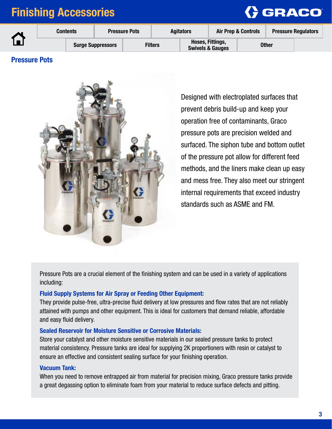

|  | <b>Contents</b> |  |                          | <b>Pressure Pots</b> | <b>Agitators</b> |  | <b>Air Prep &amp; Controls</b>                  |  | <b>Pressure Regulators</b> |  |
|--|-----------------|--|--------------------------|----------------------|------------------|--|-------------------------------------------------|--|----------------------------|--|
|  |                 |  | <b>Surge Suppressors</b> |                      | <b>Filters</b>   |  | Hoses, Fittings,<br><b>Swivels &amp; Gauges</b> |  | <b>Other</b>               |  |

### Pressure Pots



Designed with electroplated surfaces that prevent debris build-up and keep your operation free of contaminants, Graco pressure pots are precision welded and surfaced. The siphon tube and bottom outlet of the pressure pot allow for different feed methods, and the liners make clean up easy and mess free. They also meet our stringent internal requirements that exceed industry standards such as ASME and FM.

Pressure Pots are a crucial element of the finishing system and can be used in a variety of applications including:

### Fluid Supply Systems for Air Spray or Feeding Other Equipment:

They provide pulse-free, ultra-precise fluid delivery at low pressures and flow rates that are not reliably attained with pumps and other equipment. This is ideal for customers that demand reliable, affordable and easy fluid delivery.

### Sealed Reservoir for Moisture Sensitive or Corrosive Materials:

Store your catalyst and other moisture sensitive materials in our sealed pressure tanks to protect material consistency. Pressure tanks are ideal for supplying 2K proportioners with resin or catalyst to ensure an effective and consistent sealing surface for your finishing operation.

### Vacuum Tank:

When you need to remove entrapped air from material for precision mixing, Graco pressure tanks provide a great degassing option to eliminate foam from your material to reduce surface defects and pitting.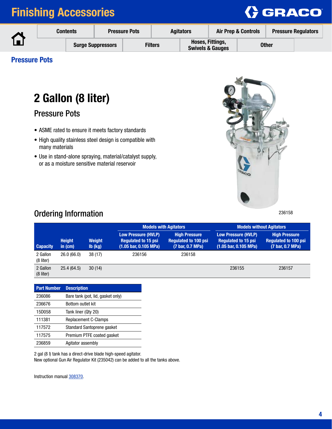

|  | <b>Contents</b> |  |                          | <b>Agitators</b><br><b>Pressure Pots</b> |  |                                                 | <b>Air Prep &amp; Controls</b> |  | <b>Pressure Regulators</b> |  |
|--|-----------------|--|--------------------------|------------------------------------------|--|-------------------------------------------------|--------------------------------|--|----------------------------|--|
|  |                 |  | <b>Surge Suppressors</b> | <b>Filters</b>                           |  | Hoses, Fittings,<br><b>Swivels &amp; Gauges</b> |                                |  | <b>Other</b>               |  |

### Pressure Pots

# 2 Gallon (8 liter)

Pressure Pots

- ASME rated to ensure it meets factory standards
- High quality stainless steel design is compatible with many materials
- Use in stand-alone spraying, material/catalyst supply, or as a moisture sensitive material reservoir



## Ordering Information

|                         |                            |                          |                                                                                              | <b>Models with Agitators</b>                                            | <b>Models without Agitators</b>                                                   |                                                                         |  |  |
|-------------------------|----------------------------|--------------------------|----------------------------------------------------------------------------------------------|-------------------------------------------------------------------------|-----------------------------------------------------------------------------------|-------------------------------------------------------------------------|--|--|
| <b>Capacity</b>         | <b>Height</b><br>in $(cm)$ | <b>Weight</b><br>lb (kg) | Low Pressure (HVLP)<br><b>Requlated to 15 psi</b><br>$(1.05 \text{ bar}, 0.105 \text{ MPa})$ | <b>High Pressure</b><br><b>Requlated to 100 psi</b><br>(7 bar, 0.7 MPa) | <b>Low Pressure (HVLP)</b><br><b>Requlated to 15 psi</b><br>(1.05 bar, 0.105 MPa) | <b>High Pressure</b><br><b>Requiated to 100 psi</b><br>(7 bar, 0.7 MPa) |  |  |
| 2 Gallon<br>$(8$ liter) | 26.0(66.0)                 | 38(17)                   | 236156                                                                                       | 236158                                                                  |                                                                                   |                                                                         |  |  |
| 2 Gallon<br>(8 liter)   | 25.4 (64.5)                | 30(14)                   |                                                                                              |                                                                         | 236155                                                                            | 236157                                                                  |  |  |

| <b>Part Number</b> | <b>Description</b>                |
|--------------------|-----------------------------------|
| 236086             | Bare tank (pot, lid, gasket only) |
| 236676             | Bottom outlet kit                 |
| 15D058             | Tank liner (Qty 20)               |
| 111381             | <b>Replacement C-Clamps</b>       |
| 117572             | Standard Santoprene gasket        |
| 117575             | Premium PTFE coated gasket        |
| 236859             | Agitator assembly                 |

2 gal (8 l) tank has a direct-drive blade high-speed agitator. New optional Gun Air Regulator Kit (235042) can be added to all the tanks above.

Instruction manual [308370.](http://search.graco.com/search?site=all_dam_no_historic&client=search_links&tlen=1024&filter=0&num=50&proxystylesheet=search_links&q=308370)

4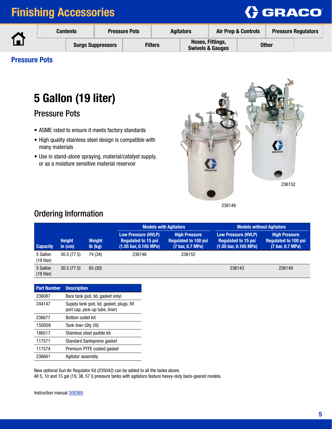

|  | <b>Contents</b> |  |                          | <b>Pressure Pots</b> |                | <b>Agitators</b> | <b>Air Prep &amp; Controls</b>                  |  | <b>Pressure Regulators</b> |  |
|--|-----------------|--|--------------------------|----------------------|----------------|------------------|-------------------------------------------------|--|----------------------------|--|
|  |                 |  | <b>Surge Suppressors</b> |                      | <b>Filters</b> |                  | Hoses, Fittings,<br><b>Swivels &amp; Gauges</b> |  | <b>Other</b>               |  |

### Pressure Pots

# 5 Gallon (19 liter)

Pressure Pots

- ASME rated to ensure it meets factory standards
- High quality stainless steel design is compatible with many materials
- Use in stand-alone spraying, material/catalyst supply, or as a moisture sensitive material reservoir



236149

### Ordering Information

|                          |                            |                          |                                                                                   | <b>Models with Agitators</b>                                            | <b>Models without Agitators</b>                                                                     |                                                                         |  |  |
|--------------------------|----------------------------|--------------------------|-----------------------------------------------------------------------------------|-------------------------------------------------------------------------|-----------------------------------------------------------------------------------------------------|-------------------------------------------------------------------------|--|--|
| <b>Capacity</b>          | <b>Height</b><br>in $(cm)$ | <b>Weight</b><br>lb (kg) | <b>Low Pressure (HVLP)</b><br><b>Requlated to 15 psi</b><br>(1.05 bar, 0.105 MPa) | <b>High Pressure</b><br><b>Requlated to 100 psi</b><br>(7 bar, 0.7 MPa) | <b>Low Pressure (HVLP)</b><br><b>Requiated to 15 psi</b><br>$(1.05 \text{ bar}, 0.105 \text{ MPa})$ | <b>High Pressure</b><br><b>Requlated to 100 psi</b><br>(7 bar, 0.7 MPa) |  |  |
| 5 Gallon<br>$(19$ liter) | 30.5(77.5)                 | 74 (34)                  | 236146                                                                            | 236152                                                                  |                                                                                                     |                                                                         |  |  |
| 5 Gallon<br>$(19$ liter) | 30.5(77.5)                 | 65 (30)                  |                                                                                   |                                                                         | 236143                                                                                              | 236149                                                                  |  |  |

| <b>Part Number</b> | <b>Description</b>                                                           |
|--------------------|------------------------------------------------------------------------------|
| 236087             | Bare tank (pot, lid, gasket only)                                            |
| 244147             | Supply tank (pot, lid, gasket, plugs, fill<br>port cap, pick-up tube, liner) |
| 236677             | Bottom outlet kit                                                            |
| 15D059             | Tank liner (Qty 20)                                                          |
| 186517             | Stainless steel paddle kit                                                   |
| 117571             | Standard Santoprene gasket                                                   |
| 117574             | Premium PTFE coated gasket                                                   |
| 236661             | Agitator assembly                                                            |
|                    |                                                                              |

New optional Gun Air Regulator Kit (235042) can be added to all the tanks above.

All 5, 10 and 15 gal (19, 38, 57 l) pressure tanks with agitators feature heavy-duty back-geared models.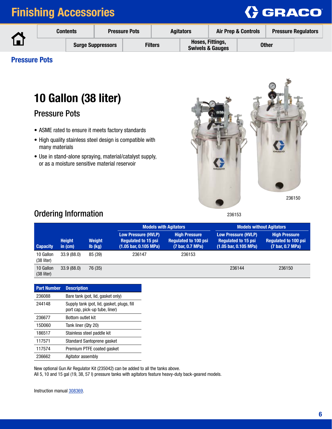

|  | <b>Contents</b> |  |                          | <b>Agitators</b><br><b>Pressure Pots</b> |                | <b>Air Prep &amp; Controls</b>                  |  | <b>Pressure Regulators</b> |  |
|--|-----------------|--|--------------------------|------------------------------------------|----------------|-------------------------------------------------|--|----------------------------|--|
|  |                 |  | <b>Surge Suppressors</b> |                                          | <b>Filters</b> | Hoses, Fittings,<br><b>Swivels &amp; Gauges</b> |  | <b>Other</b>               |  |

### Pressure Pots

# 10 Gallon (38 liter)

Pressure Pots

- ASME rated to ensure it meets factory standards
- High quality stainless steel design is compatible with many materials
- Use in stand-alone spraying, material/catalyst supply, or as a moisture sensitive material reservoir



#### 236153

## Ordering Information

|                           |                            |                                             |                                                                                                     | <b>Models with Agitators</b>                                            | <b>Models without Agitators</b>                                                                     |                                                                         |  |  |
|---------------------------|----------------------------|---------------------------------------------|-----------------------------------------------------------------------------------------------------|-------------------------------------------------------------------------|-----------------------------------------------------------------------------------------------------|-------------------------------------------------------------------------|--|--|
| <b>Capacity</b>           | <b>Height</b><br>in $(cm)$ | <b>Weight</b><br>$\mathsf{lb}(\mathsf{kg})$ | <b>Low Pressure (HVLP)</b><br><b>Requlated to 15 psi</b><br>$(1.05 \text{ bar}, 0.105 \text{ MPa})$ | <b>High Pressure</b><br><b>Requlated to 100 psi</b><br>(7 bar, 0.7 MPa) | <b>Low Pressure (HVLP)</b><br><b>Requiated to 15 psi</b><br>$(1.05 \text{ bar}, 0.105 \text{ MPa})$ | <b>High Pressure</b><br><b>Requlated to 100 psi</b><br>(7 bar, 0.7 MPa) |  |  |
| 10 Gallon<br>(38 liter)   | 33.9(88.0)                 | 85 (39)                                     | 236147                                                                                              | 236153                                                                  |                                                                                                     |                                                                         |  |  |
| 10 Gallon<br>$(38$ liter) | 33.9 (88.0)                | 76 (35)                                     |                                                                                                     |                                                                         | 236144                                                                                              | 236150                                                                  |  |  |

| <b>Part Number</b> | <b>Description</b>                                                           |
|--------------------|------------------------------------------------------------------------------|
| 236088             | Bare tank (pot, lid, gasket only)                                            |
| 244148             | Supply tank (pot, lid, gasket, plugs, fill<br>port cap, pick-up tube, liner) |
| 236677             | <b>Bottom outlet kit</b>                                                     |
| 15D060             | Tank liner (Qty 20)                                                          |
| 186517             | Stainless steel paddle kit                                                   |
| 117571             | Standard Santoprene gasket                                                   |
| 117574             | Premium PTFE coated gasket                                                   |
| 236662             | Agitator assembly                                                            |

New optional Gun Air Regulator Kit (235042) can be added to all the tanks above.

All 5, 10 and 15 gal (19, 38, 57 l) pressure tanks with agitators feature heavy-duty back-geared models.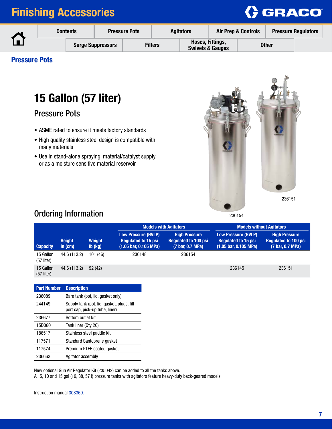

|  | <b>Contents</b>          |  | <b>Pressure Pots</b> |  | <b>Agitators</b>                                |  | <b>Air Prep &amp; Controls</b> |              | <b>Pressure Regulators</b> |
|--|--------------------------|--|----------------------|--|-------------------------------------------------|--|--------------------------------|--------------|----------------------------|
|  | <b>Surge Suppressors</b> |  | <b>Filters</b>       |  | Hoses, Fittings,<br><b>Swivels &amp; Gauges</b> |  |                                | <b>Other</b> |                            |

### Pressure Pots

# 15 Gallon (57 liter)

Pressure Pots

- ASME rated to ensure it meets factory standards
- High quality stainless steel design is compatible with many materials
- Use in stand-alone spraying, material/catalyst supply, or as a moisture sensitive material reservoir



### Ordering Information

|                           |                            |                          |                                                                                              | <b>Models with Agitators</b>                                            | <b>Models without Agitators</b>                                                                     |                                                                         |  |  |
|---------------------------|----------------------------|--------------------------|----------------------------------------------------------------------------------------------|-------------------------------------------------------------------------|-----------------------------------------------------------------------------------------------------|-------------------------------------------------------------------------|--|--|
| <b>Capacity</b>           | <b>Height</b><br>in $(cm)$ | <b>Weight</b><br>lb (kg) | Low Pressure (HVLP)<br><b>Requiated to 15 psi</b><br>$(1.05 \text{ bar}, 0.105 \text{ MPa})$ | <b>High Pressure</b><br><b>Requlated to 100 psi</b><br>(7 bar, 0.7 MPa) | <b>Low Pressure (HVLP)</b><br><b>Requiated to 15 psi</b><br>$(1.05 \text{ bar}, 0.105 \text{ MPa})$ | <b>High Pressure</b><br><b>Requiated to 100 psi</b><br>(7 bar, 0.7 MPa) |  |  |
| 15 Gallon<br>$(57$ liter) | 44.6 (113.2)               | 101 (46)                 | 236148                                                                                       | 236154                                                                  |                                                                                                     |                                                                         |  |  |
| 15 Gallon<br>$(57$ liter) | 44.6 (113.2)               | 92(42)                   |                                                                                              |                                                                         | 236145                                                                                              | 236151                                                                  |  |  |

| <b>Part Number</b> | <b>Description</b>                                                           |
|--------------------|------------------------------------------------------------------------------|
| 236089             | Bare tank (pot, lid, gasket only)                                            |
| 244149             | Supply tank (pot, lid, gasket, plugs, fill<br>port cap, pick-up tube, liner) |
| 236677             | Bottom outlet kit                                                            |
| 15D060             | Tank liner (Qty 20)                                                          |
| 186517             | Stainless steel paddle kit                                                   |
| 117571             | Standard Santoprene gasket                                                   |
| 117574             | Premium PTFE coated gasket                                                   |
| 236663             | Agitator assembly                                                            |
|                    |                                                                              |

New optional Gun Air Regulator Kit (235042) can be added to all the tanks above.

All 5, 10 and 15 gal (19, 38, 57 l) pressure tanks with agitators feature heavy-duty back-geared models.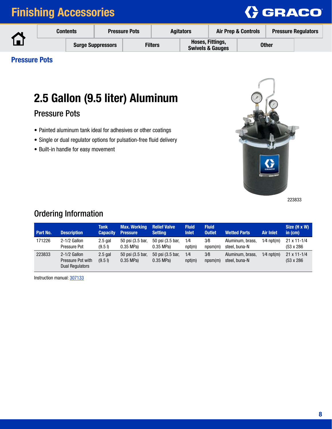

| <b>Contents</b> |                          | <b>Pressure Pots</b> |  | <b>Agitators</b> |  | <b>Air Prep &amp; Controls</b>                  |  | <b>Pressure Regulators</b> |  |
|-----------------|--------------------------|----------------------|--|------------------|--|-------------------------------------------------|--|----------------------------|--|
|                 | <b>Surge Suppressors</b> |                      |  | <b>Filters</b>   |  | Hoses, Fittings,<br><b>Swivels &amp; Gauges</b> |  | Other                      |  |

### Pressure Pots

# 2.5 Gallon (9.5 liter) Aluminum

Pressure Pots

- Painted aluminum tank ideal for adhesives or other coatings
- Single or dual regulator options for pulsation-free fluid delivery
- Built-in handle for easy movement



223833

## Ordering Information

| Part No. | <b>Description</b>                                            | <b>Tank</b><br><b>Capacity</b> | <b>Max. Working</b><br><b>Pressure</b> | <b>Relief Valve</b><br><b>Setting</b> | <b>Fluid</b><br><b>Inlet</b> | <b>Fluid</b><br><b>Outlet</b> | <b>Wetted Parts</b>               | <b>Air Inlet</b> | Size (H x W)<br>in $(cm)$                 |
|----------|---------------------------------------------------------------|--------------------------------|----------------------------------------|---------------------------------------|------------------------------|-------------------------------|-----------------------------------|------------------|-------------------------------------------|
| 171226   | $2-1/2$ Gallon<br>Pressure Pot                                | $2.5$ gal<br>(9.5)             | 50 psi (3.5 bar,<br>$0.35$ MPa)        | 50 psi (3.5 bar,<br>$0.35$ MPa)       | 1/4<br>npt(m)                | 3/8<br>npsm(m)                | Aluminum, brass,<br>steel, buna-N | $1/4$ npt(m)     | $21 \times 11 - 1/4$<br>$(53 \times 286)$ |
| 223833   | $2-1/2$ Gallon<br>Pressure Pot with<br><b>Dual Regulators</b> | $2.5$ gal<br>(9.5)             | 50 psi (3.5 bar,<br>$0.35$ MPa)        | 50 psi (3.5 bar,<br>$0.35$ MPa)       | 1/4<br>npt(m)                | 3/8<br>npsm(m)                | Aluminum, brass,<br>steel, buna-N | $1/4$ npt(m)     | $21 \times 11 - 1/4$<br>$(53 \times 286)$ |

Instruction manual: [307133](http://search.graco.com/search?site=all_dam_no_historic&client=search_links&tlen=1024&filter=0&num=50&proxystylesheet=search_links&q=307133)